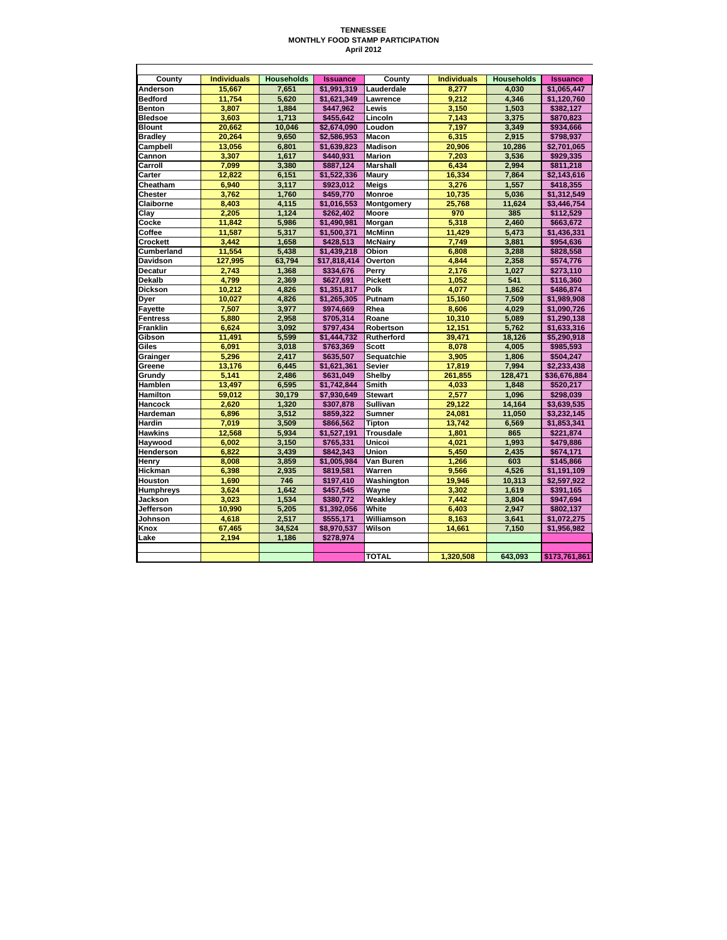## **TENNESSEE MONTHLY FOOD STAMP PARTICIPATION April 2012**

| County           | <b>Individuals</b> | <b>Households</b> | <b>Issuance</b> | Countv           | <b>Individuals</b> | <b>Households</b> | <b>Issuance</b> |
|------------------|--------------------|-------------------|-----------------|------------------|--------------------|-------------------|-----------------|
| Anderson         | 15.667             | 7.651             | \$1.991.319     | Lauderdale       | 8.277              | 4.030             | \$1.065.447     |
| <b>Bedford</b>   | 11,754             | 5,620             | \$1,621,349     | Lawrence         | 9.212              | 4,346             | \$1,120,760     |
| <b>Benton</b>    | 3.807              | 1.884             | \$447,962       | Lewis            | 3,150              | 1,503             | \$382,127       |
| <b>Bledsoe</b>   | 3.603              | 1.713             | \$455.642       | Lincoln          | 7.143              | 3.375             | \$870,823       |
| <b>Blount</b>    | 20,662             | 10,046            | \$2,674,090     | Loudon           | 7,197              | 3,349             | \$934,666       |
| <b>Bradley</b>   | 20.264             | 9.650             | \$2.586.953     | Macon            | 6.315              | 2.915             | \$798.937       |
| Campbell         | 13,056             | 6,801             | \$1,639,823     | <b>Madison</b>   | 20,906             | 10,286            | \$2,701,065     |
| Cannon           | 3,307              | 1,617             | \$440,931       | <b>Marion</b>    | 7,203              | 3,536             | \$929,335       |
| Carroll          | 7.099              | 3.380             | \$887.124       | <b>Marshall</b>  | 6.434              | 2.994             | \$811.218       |
| Carter           | 12,822             | 6,151             | \$1,522,336     | Maury            | 16,334             | 7,864             | \$2,143,616     |
| Cheatham         | 6,940              | 3,117             | \$923,012       | <b>Meigs</b>     | 3,276              | 1,557             | \$418,355       |
| Chester          | 3.762              | 1.760             | \$459.770       | <b>Monroe</b>    | 10.735             | 5.036             | \$1,312,549     |
| Claiborne        | 8.403              | 4,115             | \$1,016,553     | Montgomery       | 25,768             | 11,624            | \$3,446,754     |
| Clay             | 2,205              | 1,124             | \$262,402       | Moore            | 970                | 385               | \$112,529       |
| Cocke            | 11.842             | 5.986             | \$1.490.981     | Morgan           | 5.318              | 2.460             | \$663.672       |
| Coffee           | 11.587             | 5.317             | \$1,500,371     | <b>McMinn</b>    | 11.429             | 5.473             | \$1,436,331     |
| Crockett         | 3,442              | 1,658             | \$428,513       | <b>McNairy</b>   | 7,749              | 3,881             | \$954,636       |
| Cumberland       | 11.554             | 5.438             | \$1.439.218     | Obion            | 6.808              | 3.288             | \$828,558       |
| Davidson         | 127,995            | 63,794            | \$17,818,414    | Overton          | 4,844              | 2,358             | \$574,776       |
| <b>Decatur</b>   | 2.743              | 1,368             | \$334,676       | Perry            | 2,176              | 1.027             | \$273,110       |
| Dekalb           | 4.799              | 2.369             | \$627.691       | <b>Pickett</b>   | 1.052              | 541               | \$116.360       |
| <b>Dickson</b>   | 10,212             | 4,826             | \$1,351,817     | Polk             | 4,077              | 1,862             | \$486,874       |
| Dyer             | 10.027             | 4.826             | \$1,265,305     | Putnam           | 15,160             | 7.509             | \$1,989,908     |
| <b>Fayette</b>   | 7.507              | 3.977             | \$974.669       | Rhea             | 8.606              | 4.029             | \$1.090.726     |
| <b>Fentress</b>  | 5,880              | 2,958             | \$705,314       | Roane            | 10,310             | 5,089             | \$1,290,138     |
| <b>Franklin</b>  | 6,624              | 3,092             | \$797,434       | Robertson        | 12,151             | 5,762             | \$1,633,316     |
| Gibson           | 11.491             | 5.599             | \$1,444.732     | Rutherford       | 39.471             | 18.126            | \$5,290,918     |
| Giles            | 6.091              | 3.018             | \$763,369       | <b>Scott</b>     | 8.078              | 4.005             | \$985,593       |
| Grainger         | 5,296              | 2,417             | \$635,507       | Sequatchie       | 3,905              | 1,806             | \$504,247       |
| Greene           | 13.176             | 6.445             | \$1.621.361     | <b>Sevier</b>    | 17.819             | 7.994             | \$2.233.438     |
| Grundy           | 5.141              | 2.486             | \$631,049       | Shelby           | 261,855            | 128.471           | \$36,676,884    |
| Hamblen          | 13,497             | 6,595             | \$1,742,844     | Smith            | 4,033              | 1,848             | \$520,217       |
| Hamilton         | 59.012             | 30.179            | \$7.930.649     | <b>Stewart</b>   | 2.577              | 1.096             | \$298.039       |
| Hancock          | 2.620              | 1,320             | \$307,878       | Sullivan         | 29.122             | 14,164            | \$3,639,535     |
| Hardeman         | 6.896              | 3,512             | \$859,322       | <b>Sumner</b>    | 24,081             | 11,050            | \$3,232,145     |
| <b>Hardin</b>    | 7.019              | 3.509             | \$866.562       | Tipton           | 13.742             | 6.569             | \$1,853,341     |
| <b>Hawkins</b>   | 12.568             | 5.934             | \$1.527.191     | <b>Trousdale</b> | 1.801              | 865               | \$221.874       |
| Haywood          | 6,002              | 3,150             | \$765,331       | Unicoi           | 4,021              | 1,993             | \$479,886       |
| <b>Henderson</b> | 6.822              | 3.439             | \$842.343       | Union            | 5.450              | 2,435             | \$674.171       |
| Henry            | 8.008              | 3.859             | \$1.005.984     | Van Buren        | 1.266              | 603               | \$145.866       |
| <b>Hickman</b>   | 6,398              | 2,935             | \$819,581       | Warren           | 9,566              | 4,526             | \$1,191,109     |
| Houston          | 1.690              | 746               | \$197,410       | Washington       | 19.946             | 10.313            | \$2.597.922     |
| Humphreys        | 3.624              | 1,642             | \$457,545       | Wayne            | 3.302              | 1,619             | \$391,165       |
| Jackson          | 3,023              | 1,534             | \$380,772       | Weakley          | 7,442              | 3,804             | \$947,694       |
| Jefferson        | 10,990             | 5,205             | \$1,392,056     | White            | 6,403              | 2,947             | \$802,137       |
| Johnson          | 4.618              | 2,517             | \$555.171       | Williamson       | 8.163              | 3,641             | \$1.072.275     |
| Knox             | 67,465             | 34,524            | \$8,970,537     | Wilson           | 14,661             | 7,150             | \$1,956,982     |
| Lake             | 2,194              | 1,186             | \$278,974       |                  |                    |                   |                 |
|                  |                    |                   |                 |                  |                    |                   |                 |
|                  |                    |                   |                 | <b>TOTAL</b>     | 1,320,508          | 643.093           | \$173,761,861   |